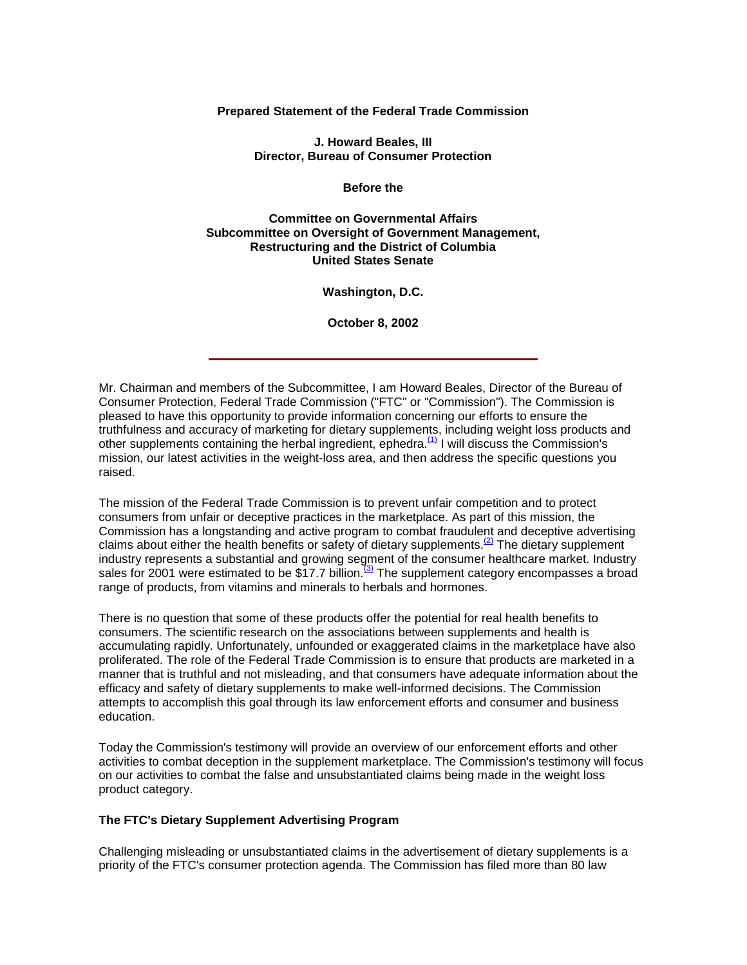**Prepared Statement of the Federal Trade Commission**

**J. Howard Beales, III Director, Bureau of Consumer Protection**

**Before the**

**Committee on Governmental Affairs Subcommittee on Oversight of Government Management, Restructuring and the District of Columbia United States Senate**

**Washington, D.C.**

**October 8, 2002**

Mr. Chairman and members of the Subcommittee, I am Howard Beales, Director of the Bureau of Consumer Protection, Federal Trade Commission ("FTC" or "Commission"). The Commission is pleased to have this opportunity to provide information concerning our efforts to ensure the truthfulness and accuracy of marketing for dietary supplements, including weight loss products and other supplements containing the herbal ingredient, ephedra. $\overline{11}$  I will discuss the Commission's mission, our latest activities in the weight-loss area, and then address the specific questions you raised.

The mission of the Federal Trade Commission is to prevent unfair competition and to protect consumers from unfair or deceptive practices in the marketplace. As part of this mission, the Commission has a longstanding and active program to combat fraudulent and deceptive advertising claims about either the health benefits or safety of dietary supplements.  $(2)$  The dietary supplement industry represents a substantial and growing segment of the consumer healthcare market. Industry sales for 2001 were estimated to be \$17.7 billion.<sup>(3)</sup> The supplement category encompasses a broad range of products, from vitamins and minerals to herbals and hormones.

There is no question that some of these products offer the potential for real health benefits to consumers. The scientific research on the associations between supplements and health is accumulating rapidly. Unfortunately, unfounded or exaggerated claims in the marketplace have also proliferated. The role of the Federal Trade Commission is to ensure that products are marketed in a manner that is truthful and not misleading, and that consumers have adequate information about the efficacy and safety of dietary supplements to make well-informed decisions. The Commission attempts to accomplish this goal through its law enforcement efforts and consumer and business education.

Today the Commission's testimony will provide an overview of our enforcement efforts and other activities to combat deception in the supplement marketplace. The Commission's testimony will focus on our activities to combat the false and unsubstantiated claims being made in the weight loss product category.

## **The FTC's Dietary Supplement Advertising Program**

Challenging misleading or unsubstantiated claims in the advertisement of dietary supplements is a priority of the FTC's consumer protection agenda. The Commission has filed more than 80 law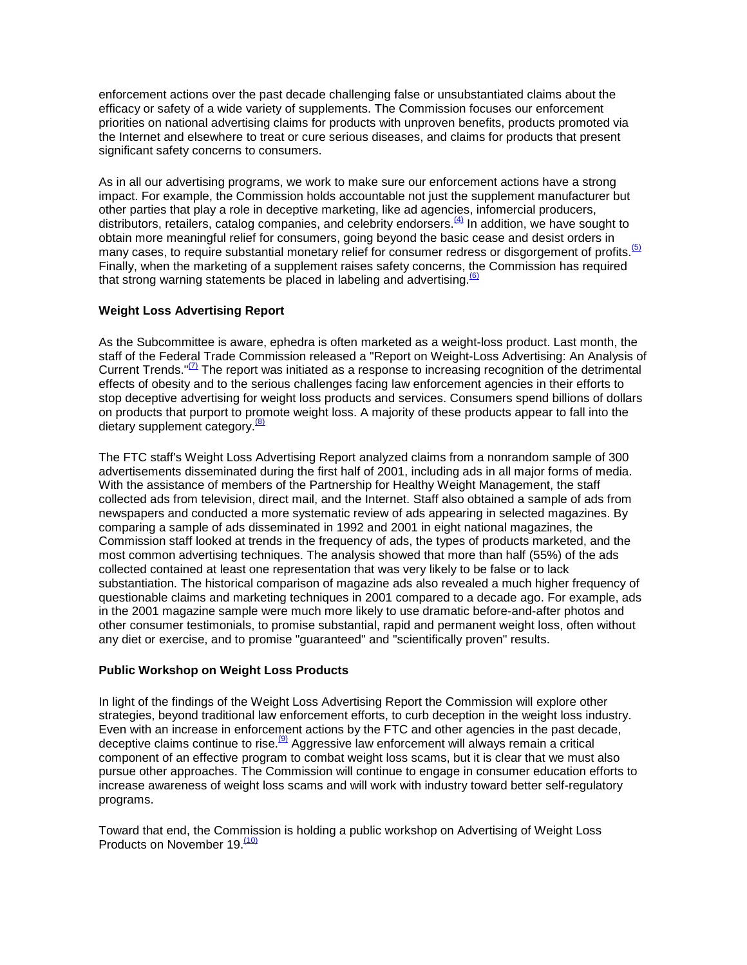enforcement actions over the past decade challenging false or unsubstantiated claims about the efficacy or safety of a wide variety of supplements. The Commission focuses our enforcement priorities on national advertising claims for products with unproven benefits, products promoted via the Internet and elsewhere to treat or cure serious diseases, and claims for products that present significant safety concerns to consumers.

As in all our advertising programs, we work to make sure our enforcement actions have a strong impact. For example, the Commission holds accountable not just the supplement manufacturer but other parties that play a role in deceptive marketing, like ad agencies, infomercial producers, distributors, retailers, catalog companies, and celebrity endorsers.<sup>(4)</sup> In addition, we have sought to obtain more meaningful relief for consumers, going beyond the basic cease and desist orders in many cases, to require substantial monetary relief for consumer redress or disgorgement of profits.<sup>(5)</sup> Finally, when the marketing of a supplement raises safety concerns, the Commission has required that strong warning statements be placed in labeling and advertising. $6$ 

# **Weight Loss Advertising Report**

As the Subcommittee is aware, ephedra is often marketed as a weight-loss product. Last month, the staff of the Federal Trade Commission released a "Report on Weight-Loss Advertising: An Analysis of Current Trends." $\mathbb{Z}$  The report was initiated as a response to increasing recognition of the detrimental effects of obesity and to the serious challenges facing law enforcement agencies in their efforts to stop deceptive advertising for weight loss products and services. Consumers spend billions of dollars on products that purport to promote weight loss. A majority of these products appear to fall into the dietary supplement category.<sup>(8)</sup>

The FTC staff's Weight Loss Advertising Report analyzed claims from a nonrandom sample of 300 advertisements disseminated during the first half of 2001, including ads in all major forms of media. With the assistance of members of the Partnership for Healthy Weight Management, the staff collected ads from television, direct mail, and the Internet. Staff also obtained a sample of ads from newspapers and conducted a more systematic review of ads appearing in selected magazines. By comparing a sample of ads disseminated in 1992 and 2001 in eight national magazines, the Commission staff looked at trends in the frequency of ads, the types of products marketed, and the most common advertising techniques. The analysis showed that more than half (55%) of the ads collected contained at least one representation that was very likely to be false or to lack substantiation. The historical comparison of magazine ads also revealed a much higher frequency of questionable claims and marketing techniques in 2001 compared to a decade ago. For example, ads in the 2001 magazine sample were much more likely to use dramatic before-and-after photos and other consumer testimonials, to promise substantial, rapid and permanent weight loss, often without any diet or exercise, and to promise "guaranteed" and "scientifically proven" results.

## **Public Workshop on Weight Loss Products**

In light of the findings of the Weight Loss Advertising Report the Commission will explore other strategies, beyond traditional law enforcement efforts, to curb deception in the weight loss industry. Even with an increase in enforcement actions by the FTC and other agencies in the past decade, deceptive claims continue to rise.  $\frac{\Theta}{\Theta}$  Aggressive law enforcement will always remain a critical component of an effective program to combat weight loss scams, but it is clear that we must also pursue other approaches. The Commission will continue to engage in consumer education efforts to increase awareness of weight loss scams and will work with industry toward better self-regulatory programs.

Toward that end, the Commission is holding a public workshop on Advertising of Weight Loss Products on November 19.<sup>(10)</sup>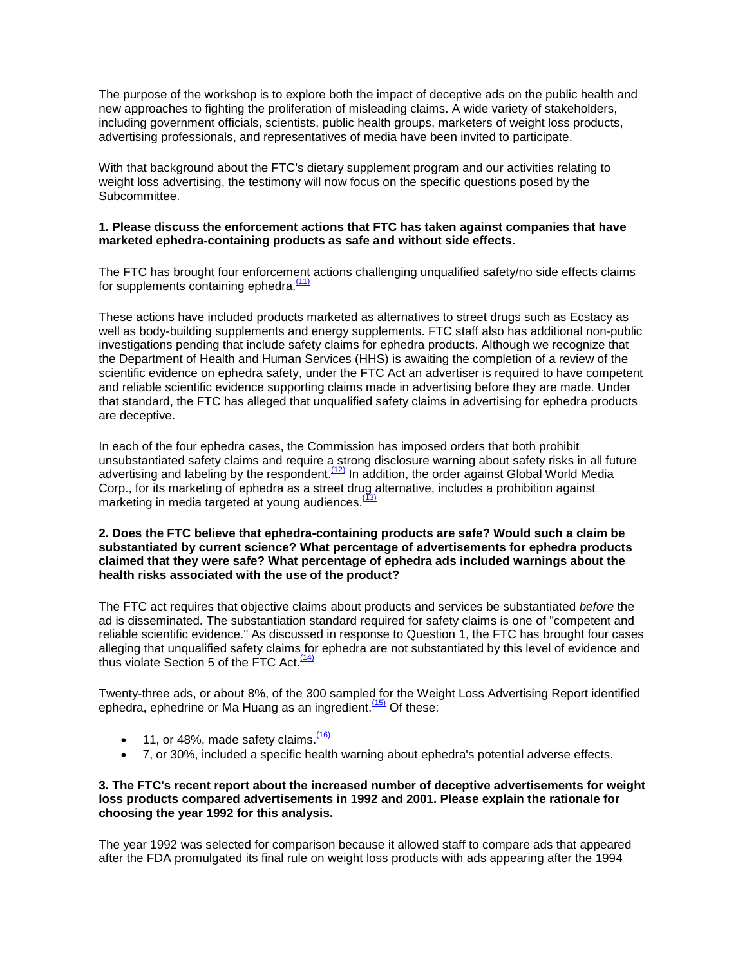The purpose of the workshop is to explore both the impact of deceptive ads on the public health and new approaches to fighting the proliferation of misleading claims. A wide variety of stakeholders, including government officials, scientists, public health groups, marketers of weight loss products, advertising professionals, and representatives of media have been invited to participate.

With that background about the FTC's dietary supplement program and our activities relating to weight loss advertising, the testimony will now focus on the specific questions posed by the Subcommittee.

## **1. Please discuss the enforcement actions that FTC has taken against companies that have marketed ephedra-containing products as safe and without side effects.**

The FTC has brought four enforcement actions challenging unqualified safety/no side effects claims for supplements containing ephedra. $(11)$ 

These actions have included products marketed as alternatives to street drugs such as Ecstacy as well as body-building supplements and energy supplements. FTC staff also has additional non-public investigations pending that include safety claims for ephedra products. Although we recognize that the Department of Health and Human Services (HHS) is awaiting the completion of a review of the scientific evidence on ephedra safety, under the FTC Act an advertiser is required to have competent and reliable scientific evidence supporting claims made in advertising before they are made. Under that standard, the FTC has alleged that unqualified safety claims in advertising for ephedra products are deceptive.

In each of the four ephedra cases, the Commission has imposed orders that both prohibit unsubstantiated safety claims and require a strong disclosure warning about safety risks in all future advertising and labeling by the respondent.<sup>(12)</sup> In addition, the order against Global World Media Corp., for its marketing of ephedra as a street drug alternative, includes a prohibition against marketing in media targeted at young audiences.<sup>[2]</sup>

#### **2. Does the FTC believe that ephedra-containing products are safe? Would such a claim be substantiated by current science? What percentage of advertisements for ephedra products claimed that they were safe? What percentage of ephedra ads included warnings about the health risks associated with the use of the product?**

The FTC act requires that objective claims about products and services be substantiated *before* the ad is disseminated. The substantiation standard required for safety claims is one of "competent and reliable scientific evidence." As discussed in response to Question 1, the FTC has brought four cases alleging that unqualified safety claims for ephedra are not substantiated by this level of evidence and thus violate Section 5 of the FTC Act.<sup>(14)</sup>

Twenty-three ads, or about 8%, of the 300 sampled for the Weight Loss Advertising Report identified ephedra, ephedrine or Ma Huang as an ingredient. $\frac{(15)}{(15)}$  Of these:

- 11, or 48%, made safety claims.  $\frac{(16)}{2}$
- 7, or 30%, included a specific health warning about ephedra's potential adverse effects.

## **3. The FTC's recent report about the increased number of deceptive advertisements for weight loss products compared advertisements in 1992 and 2001. Please explain the rationale for choosing the year 1992 for this analysis.**

The year 1992 was selected for comparison because it allowed staff to compare ads that appeared after the FDA promulgated its final rule on weight loss products with ads appearing after the 1994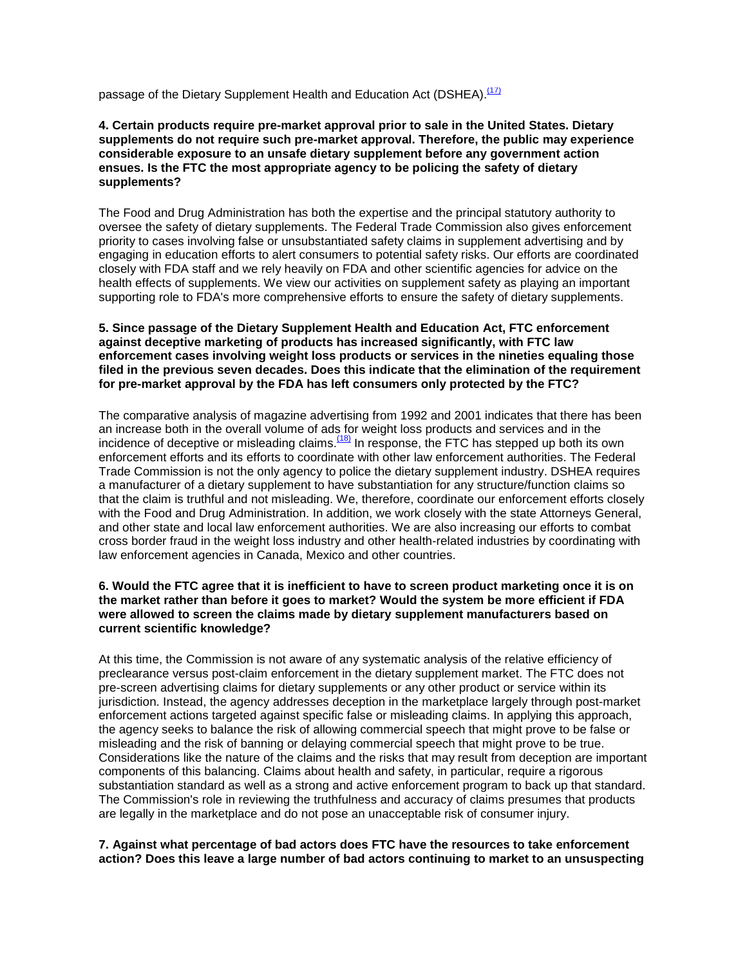passage of the Dietary Supplement Health and Education Act (DSHEA).<sup>(17)</sup>

## **4. Certain products require pre-market approval prior to sale in the United States. Dietary supplements do not require such pre-market approval. Therefore, the public may experience considerable exposure to an unsafe dietary supplement before any government action ensues. Is the FTC the most appropriate agency to be policing the safety of dietary supplements?**

The Food and Drug Administration has both the expertise and the principal statutory authority to oversee the safety of dietary supplements. The Federal Trade Commission also gives enforcement priority to cases involving false or unsubstantiated safety claims in supplement advertising and by engaging in education efforts to alert consumers to potential safety risks. Our efforts are coordinated closely with FDA staff and we rely heavily on FDA and other scientific agencies for advice on the health effects of supplements. We view our activities on supplement safety as playing an important supporting role to FDA's more comprehensive efforts to ensure the safety of dietary supplements.

#### **5. Since passage of the Dietary Supplement Health and Education Act, FTC enforcement against deceptive marketing of products has increased significantly, with FTC law enforcement cases involving weight loss products or services in the nineties equaling those filed in the previous seven decades. Does this indicate that the elimination of the requirement for pre-market approval by the FDA has left consumers only protected by the FTC?**

The comparative analysis of magazine advertising from 1992 and 2001 indicates that there has been an increase both in the overall volume of ads for weight loss products and services and in the incidence of deceptive or misleading claims. $(18)$  In response, the FTC has stepped up both its own enforcement efforts and its efforts to coordinate with other law enforcement authorities. The Federal Trade Commission is not the only agency to police the dietary supplement industry. DSHEA requires a manufacturer of a dietary supplement to have substantiation for any structure/function claims so that the claim is truthful and not misleading. We, therefore, coordinate our enforcement efforts closely with the Food and Drug Administration. In addition, we work closely with the state Attorneys General, and other state and local law enforcement authorities. We are also increasing our efforts to combat cross border fraud in the weight loss industry and other health-related industries by coordinating with law enforcement agencies in Canada, Mexico and other countries.

## **6. Would the FTC agree that it is inefficient to have to screen product marketing once it is on the market rather than before it goes to market? Would the system be more efficient if FDA were allowed to screen the claims made by dietary supplement manufacturers based on current scientific knowledge?**

At this time, the Commission is not aware of any systematic analysis of the relative efficiency of preclearance versus post-claim enforcement in the dietary supplement market. The FTC does not pre-screen advertising claims for dietary supplements or any other product or service within its jurisdiction. Instead, the agency addresses deception in the marketplace largely through post-market enforcement actions targeted against specific false or misleading claims. In applying this approach, the agency seeks to balance the risk of allowing commercial speech that might prove to be false or misleading and the risk of banning or delaying commercial speech that might prove to be true. Considerations like the nature of the claims and the risks that may result from deception are important components of this balancing. Claims about health and safety, in particular, require a rigorous substantiation standard as well as a strong and active enforcement program to back up that standard. The Commission's role in reviewing the truthfulness and accuracy of claims presumes that products are legally in the marketplace and do not pose an unacceptable risk of consumer injury.

## **7. Against what percentage of bad actors does FTC have the resources to take enforcement action? Does this leave a large number of bad actors continuing to market to an unsuspecting**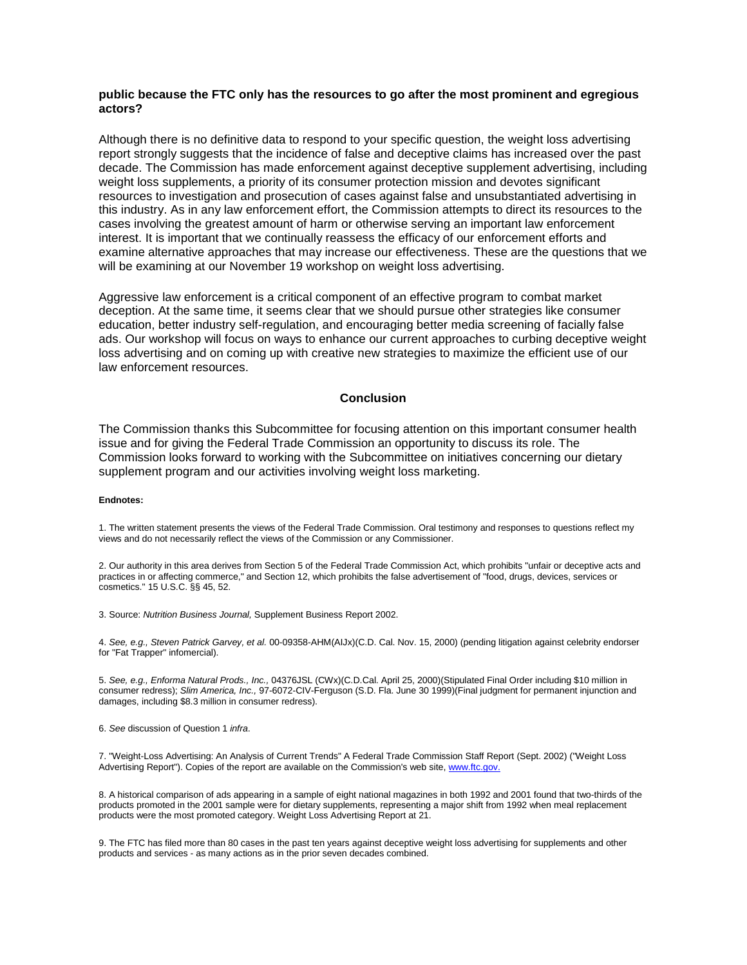#### **public because the FTC only has the resources to go after the most prominent and egregious actors?**

Although there is no definitive data to respond to your specific question, the weight loss advertising report strongly suggests that the incidence of false and deceptive claims has increased over the past decade. The Commission has made enforcement against deceptive supplement advertising, including weight loss supplements, a priority of its consumer protection mission and devotes significant resources to investigation and prosecution of cases against false and unsubstantiated advertising in this industry. As in any law enforcement effort, the Commission attempts to direct its resources to the cases involving the greatest amount of harm or otherwise serving an important law enforcement interest. It is important that we continually reassess the efficacy of our enforcement efforts and examine alternative approaches that may increase our effectiveness. These are the questions that we will be examining at our November 19 workshop on weight loss advertising.

Aggressive law enforcement is a critical component of an effective program to combat market deception. At the same time, it seems clear that we should pursue other strategies like consumer education, better industry self-regulation, and encouraging better media screening of facially false ads. Our workshop will focus on ways to enhance our current approaches to curbing deceptive weight loss advertising and on coming up with creative new strategies to maximize the efficient use of our law enforcement resources.

#### **Conclusion**

The Commission thanks this Subcommittee for focusing attention on this important consumer health issue and for giving the Federal Trade Commission an opportunity to discuss its role. The Commission looks forward to working with the Subcommittee on initiatives concerning our dietary supplement program and our activities involving weight loss marketing.

#### **Endnotes:**

1. The written statement presents the views of the Federal Trade Commission. Oral testimony and responses to questions reflect my views and do not necessarily reflect the views of the Commission or any Commissioner.

2. Our authority in this area derives from Section 5 of the Federal Trade Commission Act, which prohibits "unfair or deceptive acts and practices in or affecting commerce," and Section 12, which prohibits the false advertisement of "food, drugs, devices, services or cosmetics." 15 U.S.C. §§ 45, 52.

3. Source: *Nutrition Business Journal,* Supplement Business Report 2002.

4. *See, e.g., Steven Patrick Garvey, et al.* 00-09358-AHM(AIJx)(C.D. Cal. Nov. 15, 2000) (pending litigation against celebrity endorser for "Fat Trapper" infomercial).

5. *See, e.g., Enforma Natural Prods., Inc.,* 04376JSL (CWx)(C.D.Cal. April 25, 2000)(Stipulated Final Order including \$10 million in consumer redress); *Slim America, Inc.,* 97-6072-CIV-Ferguson (S.D. Fla. June 30 1999)(Final judgment for permanent injunction and damages, including \$8.3 million in consumer redress).

6. *See* discussion of Question 1 *infra*.

7. "Weight-Loss Advertising: An Analysis of Current Trends" A Federal Trade Commission Staff Report (Sept. 2002) ("Weight Loss Advertising Report"). Copies of the report are available on the Commission's web site[, www.ftc.gov.](http://www.ftc.gov/)

8. A historical comparison of ads appearing in a sample of eight national magazines in both 1992 and 2001 found that two-thirds of the products promoted in the 2001 sample were for dietary supplements, representing a major shift from 1992 when meal replacement products were the most promoted category. Weight Loss Advertising Report at 21.

9. The FTC has filed more than 80 cases in the past ten years against deceptive weight loss advertising for supplements and other products and services - as many actions as in the prior seven decades combined.